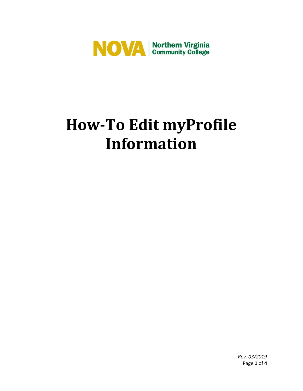

# **How-To Edit myProfile Information**

*Rev. 03/2019* Page **1** of **4**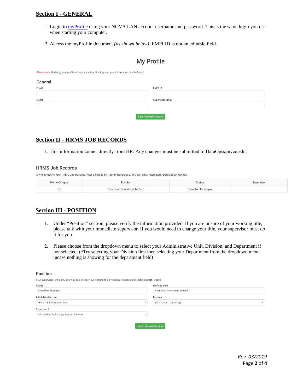## **Section I - GENERAL**

- 1. Login t[o myProfile](https://eforms.nvcc.edu/myProfile/) using your NOVA LAN account username and password. This is the same login you use when starting your computer.
- 2. Access the myProfile document *(as shown below).* EMPLID is not an editable field.

# **My Profile**

Please Note: Updating your profile will update active directory and your information on all eForms.

| General |                         |  |
|---------|-------------------------|--|
| Email   | <b>EMPLID</b>           |  |
| Name    | <b>Supervisor Email</b> |  |
|         |                         |  |
|         | Save General Changes    |  |

## **Section II - HRMS JOB RECORDS**

1. This information comes directly from HR. Any changes must be submitted to [DataOps@nvcc.edu](mailto:dataops@nvcc.edu).

#### **HRMS Job Records**

Any changes to your HRMS Job Records must be made by Human Resources. You can email them here: DataOps@nvcc.edu.

| Home Campus      | Position                     | <b>Status</b>              | Supervisor |
|------------------|------------------------------|----------------------------|------------|
| $\sim$<br>$\sim$ | Computer Operations Techn II | <b>Classified Employee</b> |            |

# **Section III - POSITION**

- 1. Under "Position" section, please verify the information provided. If you are unsure of your working title, please talk with your immediate supervisor. If you would need to change your title, your supervisor must do it for you.
- 2. Please choose from the dropdown menu to select your Administrative Unit, Division, and Department if not selected. (\*Try selecting your Division first then selecting your Department from the dropdown menu incase nothing is showing for the department field)

#### **Position**

Your supervisor is the only one who can change your working title by visiting this page and clicking Direct Reports Status **Working Title** 

| $\sim$                                  |                                     |
|-----------------------------------------|-------------------------------------|
| <b>Classified Employee</b>              | <b>Computer Operations Techn II</b> |
| <b>Administrative Unit</b>              | <b>Division</b>                     |
| VP Instr & Information Tech             | <b>Information Technology</b>       |
| Department                              |                                     |
| Information Technology Support Services |                                     |
|                                         |                                     |
|                                         | <b>Save Position Changes</b>        |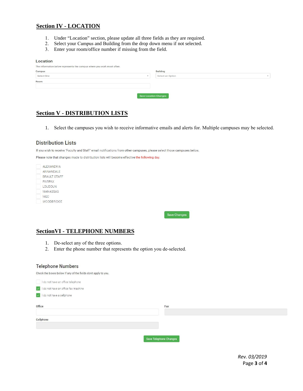## **Section IV - LOCATION**

- 1. Under "Location" section, please update all three fields as they are required.
- 2. Select your Campus and Building from the drop down menu if not selected.
- 3. Enter your room/office number if missing from the field.

#### Location

| The information below represents the campus where you work most often. |                  |
|------------------------------------------------------------------------|------------------|
| Campus                                                                 | <b>Building</b>  |
| Select One<br>$\rightarrow$                                            | Select an Option |
| Room                                                                   |                  |
|                                                                        |                  |
| <b>Save Location Changes</b>                                           |                  |

# **Section V - DISTRIBUTION LISTS**

1. Select the campuses you wish to receive informative emails and alerts for. Multiple campuses may be selected.

### **Distribution Lists**

If you wish to receive "Faculty and Staff" email notifications from other campuses, please select those campuses below.

Please note that changes made to distribution lists will become effective the following day.

| ALEXANDRIA          |
|---------------------|
| ANNANDALE           |
| <b>BRAULT STAFF</b> |
| FAIRFAX             |
| <b>LOUDOUN</b>      |
| <b>MANASSAS</b>     |
| <b>MFC</b>          |
| <b>WOODBRIDGE</b>   |
|                     |

Save Changes

## **SectionVI - TELEPHONE NUMBERS**

- 1. De-select any of the three options.
- 2. Enter the phone number that represents the option you de-selected.

#### **Telephone Numbers**

Check the boxes below if any of the fields don't apply to you.

| I do not have an office telephone   |                        |  |
|-------------------------------------|------------------------|--|
| I do not have an office fax machine |                        |  |
| v I do not have a cellphone         |                        |  |
| Office                              | Fax                    |  |
|                                     |                        |  |
| Cellphone                           |                        |  |
|                                     |                        |  |
|                                     |                        |  |
|                                     | Save Telephone Changes |  |